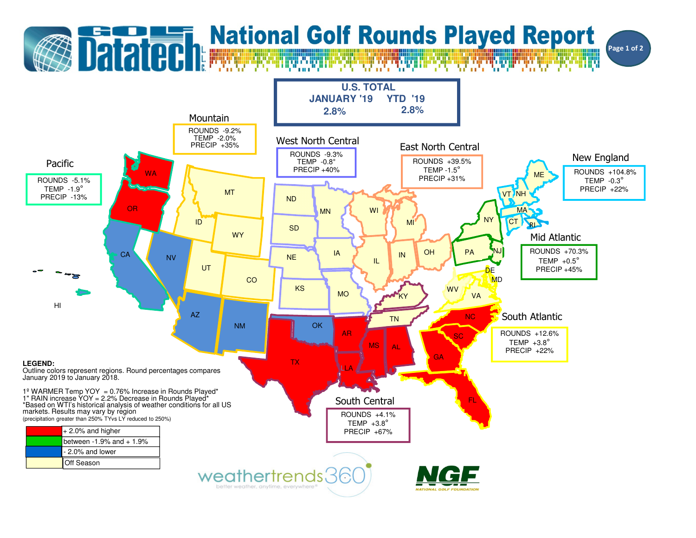## **Datated:** National Golf Rounds Played Report Page 1 of 2**U.S. TOTAL JANUARY '19 YTD '192.8% 2.8%** Mountain ROUNDS -9.2% TEMP -2.0% PRECIP +35%West North CentralEast North CentralROUNDS -9.3%New EnglandTEMP -0.8°ROUNDS +39.5%PacificTEMP -1.5° PRECIP +40%ROUNDS +104.8%**WA** MEROUNDS -5.1% PRECIP +31%TEMP -0.3°TEMP -1.9° PRECIP +22%MTVT NH PRECIP -13%NDORWI**MA** MNNY $|CT|$ IDMI**RIA SD WY** Mid AtlanticROUNDS +70.3%**OH** PAA NJ **CA** IAINNENVTEMP  $+0.5^\circ$ ILUT**DE**  PRECIP +45%COMD KS**WV** MOVAKYHIAZSouth AtlanticNCTNNM**OK** ARROUNDS +12.6%SCTEMP  $+3.8^\circ$ MS AL PRECIP +22%**GA** TX**LEGEND:**LLA Outline colors represent regions. Round percentages compares January 2019 to January 2018.1º WARMER Temp YOY = 0.76% Increase in Rounds Played\*<br>1" RAIN increase YOY = 2.2% Decrease in Rounds Played\*<br>\*Based on WTI's historical analysis of weather conditions for all US<br>markets. Results may vary by region South CentralFLROUNDS +4.1% (precipitation greater than 250% TYvs LY reduced to 250%)TEMP  $+3.8^\circ$ + 2.0% and higher PRECIP +67%between  $-1.9%$  and  $+1.9%$

weathertrends36 better weather, anytime, everywhere

- 2.0% and lowerOff Season